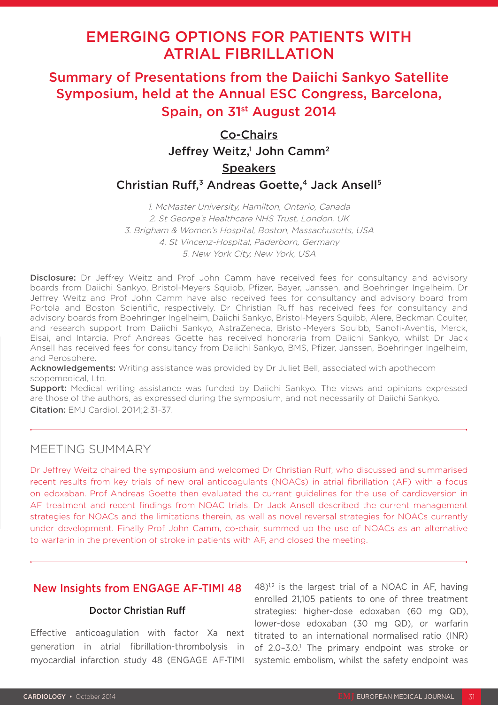# EMERGING OPTIONS FOR PATIENTS WITH ATRIAL FIBRILLATION

# Summary of Presentations from the Daiichi Sankyo Satellite Symposium, held at the Annual ESC Congress, Barcelona, Spain, on 31<sup>st</sup> August 2014

# Co-Chairs Jeffrey Weitz,<sup>1</sup> John Camm<sup>2</sup> **Speakers** Christian Ruff,<sup>3</sup> Andreas Goette,<sup>4</sup> Jack Ansell<sup>5</sup>

1. McMaster University, Hamilton, Ontario, Canada 2. St George's Healthcare NHS Trust, London, UK 3. Brigham & Women's Hospital, Boston, Massachusetts, USA 4. St Vincenz-Hospital, Paderborn, Germany 5. New York City, New York, USA

Disclosure: Dr Jeffrey Weitz and Prof John Camm have received fees for consultancy and advisory boards from Daiichi Sankyo, Bristol-Meyers Squibb, Pfizer, Bayer, Janssen, and Boehringer Ingelheim. Dr Jeffrey Weitz and Prof John Camm have also received fees for consultancy and advisory board from Portola and Boston Scientific, respectively. Dr Christian Ruff has received fees for consultancy and advisory boards from Boehringer Ingelheim, Daiichi Sankyo, Bristol-Meyers Squibb, Alere, Beckman Coulter, and research support from Daiichi Sankyo, AstraZeneca, Bristol-Meyers Squibb, Sanofi-Aventis, Merck, Eisai, and Intarcia. Prof Andreas Goette has received honoraria from Daiichi Sankyo, whilst Dr Jack Ansell has received fees for consultancy from Daiichi Sankyo, BMS, Pfizer, Janssen, Boehringer Ingelheim, and Perosphere.

Acknowledgements: Writing assistance was provided by Dr Juliet Bell, associated with apothecom scopemedical, Ltd.

**Support:** Medical writing assistance was funded by Daiichi Sankyo. The views and opinions expressed are those of the authors, as expressed during the symposium, and not necessarily of Daiichi Sankyo. Citation: EMJ Cardiol. 2014;2:31-37.

## MEETING SUMMARY

Dr Jeffrey Weitz chaired the symposium and welcomed Dr Christian Ruff, who discussed and summarised recent results from key trials of new oral anticoagulants (NOACs) in atrial fibrillation (AF) with a focus on edoxaban. Prof Andreas Goette then evaluated the current guidelines for the use of cardioversion in AF treatment and recent findings from NOAC trials. Dr Jack Ansell described the current management strategies for NOACs and the limitations therein, as well as novel reversal strategies for NOACs currently under development. Finally Prof John Camm, co-chair, summed up the use of NOACs as an alternative to warfarin in the prevention of stroke in patients with AF, and closed the meeting.

## New Insights from ENGAGE AF-TIMI 48

### Doctor Christian Ruff

Effective anticoagulation with factor Xa next generation in atrial fibrillation-thrombolysis in myocardial infarction study 48 (ENGAGE AF-TIMI

 $48$ <sup> $1,2$ </sup> is the largest trial of a NOAC in AF, having enrolled 21,105 patients to one of three treatment strategies: higher-dose edoxaban (60 mg QD), lower-dose edoxaban (30 mg QD), or warfarin titrated to an international normalised ratio (INR) of 2.0-3.0.<sup>1</sup> The primary endpoint was stroke or systemic embolism, whilst the safety endpoint was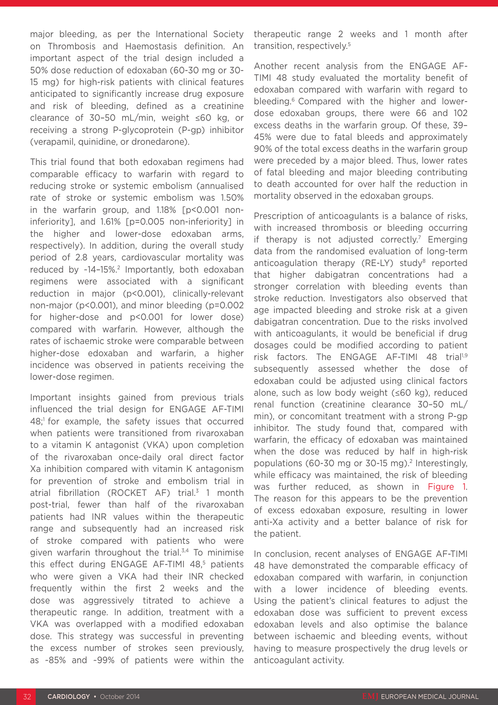major bleeding, as per the International Society on Thrombosis and Haemostasis definition. An important aspect of the trial design included a 50% dose reduction of edoxaban (60-30 mg or 30- 15 mg) for high-risk patients with clinical features anticipated to significantly increase drug exposure and risk of bleeding, defined as a creatinine clearance of 30–50 mL/min, weight ≤60 kg, or receiving a strong P-glycoprotein (P-gp) inhibitor (verapamil, quinidine, or dronedarone).

This trial found that both edoxaban regimens had comparable efficacy to warfarin with regard to reducing stroke or systemic embolism (annualised rate of stroke or systemic embolism was 1.50% in the warfarin group, and 1.18% [p<0.001 noninferiority], and 1.61% [p=0.005 non-inferiority] in the higher and lower-dose edoxaban arms, respectively). In addition, during the overall study period of 2.8 years, cardiovascular mortality was reduced by ~14-15%.<sup>2</sup> Importantly, both edoxaban regimens were associated with a significant reduction in major (p<0.001), clinically-relevant non-major (p<0.001), and minor bleeding (p=0.002 for higher-dose and p<0.001 for lower dose) compared with warfarin. However, although the rates of ischaemic stroke were comparable between higher-dose edoxaban and warfarin, a higher incidence was observed in patients receiving the lower-dose regimen.

Important insights gained from previous trials influenced the trial design for ENGAGE AF-TIMI 48;<sup>1</sup> for example, the safety issues that occurred when patients were transitioned from rivaroxaban to a vitamin K antagonist (VKA) upon completion of the rivaroxaban once-daily oral direct factor Xa inhibition compared with vitamin K antagonism for prevention of stroke and embolism trial in atrial fibrillation (ROCKET AF) trial. $3$  1 month post-trial, fewer than half of the rivaroxaban patients had INR values within the therapeutic range and subsequently had an increased risk of stroke compared with patients who were given warfarin throughout the trial. $3,4$  To minimise this effect during ENGAGE AF-TIMI 48,<sup>5</sup> patients who were given a VKA had their INR checked frequently within the first 2 weeks and the dose was aggressively titrated to achieve a therapeutic range. In addition, treatment with a VKA was overlapped with a modified edoxaban dose. This strategy was successful in preventing the excess number of strokes seen previously, as ~85% and ~99% of patients were within the

therapeutic range 2 weeks and 1 month after transition, respectively.<sup>5</sup>

Another recent analysis from the ENGAGE AF-TIMI 48 study evaluated the mortality benefit of edoxaban compared with warfarin with regard to bleeding.<sup>6</sup> Compared with the higher and lowerdose edoxaban groups, there were 66 and 102 excess deaths in the warfarin group. Of these, 39– 45% were due to fatal bleeds and approximately 90% of the total excess deaths in the warfarin group were preceded by a major bleed. Thus, lower rates of fatal bleeding and major bleeding contributing to death accounted for over half the reduction in mortality observed in the edoxaban groups.

Prescription of anticoagulants is a balance of risks, with increased thrombosis or bleeding occurring if therapy is not adjusted correctly.<sup>7</sup> Emerging data from the randomised evaluation of long-term anticoagulation therapy (RE-LY) study $8$  reported that higher dabigatran concentrations had a stronger correlation with bleeding events than stroke reduction. Investigators also observed that age impacted bleeding and stroke risk at a given dabigatran concentration. Due to the risks involved with anticoagulants, it would be beneficial if drug dosages could be modified according to patient risk factors. The ENGAGE AF-TIMI 48 trial<sup>1,9</sup> subsequently assessed whether the dose of edoxaban could be adjusted using clinical factors alone, such as low body weight (≤60 kg), reduced renal function (creatinine clearance 30–50 mL/ min), or concomitant treatment with a strong P-gp inhibitor. The study found that, compared with warfarin, the efficacy of edoxaban was maintained when the dose was reduced by half in high-risk populations (60-30 mg or 30-15 mg).<sup>2</sup> Interestingly, while efficacy was maintained, the risk of bleeding was further reduced, as shown in Figure 1. The reason for this appears to be the prevention of excess edoxaban exposure, resulting in lower anti-Xa activity and a better balance of risk for the patient.

In conclusion, recent analyses of ENGAGE AF-TIMI 48 have demonstrated the comparable efficacy of edoxaban compared with warfarin, in conjunction with a lower incidence of bleeding events. Using the patient's clinical features to adjust the edoxaban dose was sufficient to prevent excess edoxaban levels and also optimise the balance between ischaemic and bleeding events, without having to measure prospectively the drug levels or anticoagulant activity.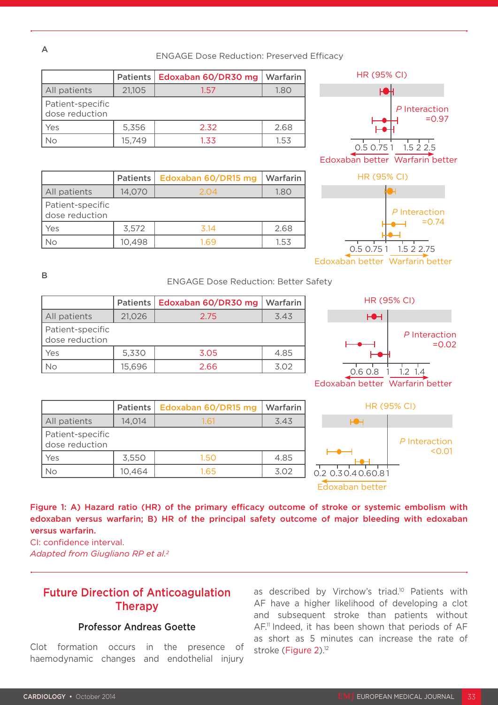ENGAGE Dose Reduction: Preserved Efficacy

|                                    | Patients | Edoxaban 60/DR30 mg | Warfarin |
|------------------------------------|----------|---------------------|----------|
| All patients                       | 21,105   | 1.57                | 1.80     |
| Patient-specific<br>dose reduction |          |                     |          |
| Yes                                | 5,356    | 2.32                | 2.68     |
|                                    | 15,749   | 1.33                | 1.53     |

|                                    | <b>Patients</b> | Edoxaban 60/DR15 mg | Warfarin |
|------------------------------------|-----------------|---------------------|----------|
| All patients                       | 14.070          | 2.04                | 1.80     |
| Patient-specific<br>dose reduction |                 |                     |          |
| Yes                                | 3,572           | 314                 | 2.68     |
| , No                               | 10,498          | 1 69                | 1.53     |



Edoxaban better Warfarin better



#### ENGAGE Dose Reduction: Better Safety

|                                    |        | Patients   Edoxaban 60/DR30 mg | Warfarin |
|------------------------------------|--------|--------------------------------|----------|
| All patients                       | 21,026 | 2.75                           | 3.43     |
| Patient-specific<br>dose reduction |        |                                |          |
| Yes                                | 5,330  | 3.05                           | 4.85     |
| No                                 | 15,696 | 2.66                           | 3.02     |

|                                    | <b>Patients</b> | Edoxaban 60/DR15 mg | Warfarin |
|------------------------------------|-----------------|---------------------|----------|
| All patients                       | 14.014          | 1.61                | 3.43     |
| Patient-specific<br>dose reduction |                 |                     |          |
| Yes                                | 3,550           | 1.50                | 4.85     |
| Νo                                 | 10,464          | 165                 | 3.02     |





Figure 1: A) Hazard ratio (HR) of the primary efficacy outcome of stroke or systemic embolism with edoxaban versus warfarin; B) HR of the principal safety outcome of major bleeding with edoxaban versus warfarin.

CI: confidence interval. *Adapted from Giugliano RP et al.2*

# Future Direction of Anticoagulation **Therapy**

#### Professor Andreas Goette

Clot formation occurs in the presence of haemodynamic changes and endothelial injury

as described by Virchow's triad.<sup>10</sup> Patients with AF have a higher likelihood of developing a clot and subsequent stroke than patients without AF.<sup>11</sup> Indeed, it has been shown that periods of AF as short as 5 minutes can increase the rate of stroke (Figure 2).<sup>12</sup>

B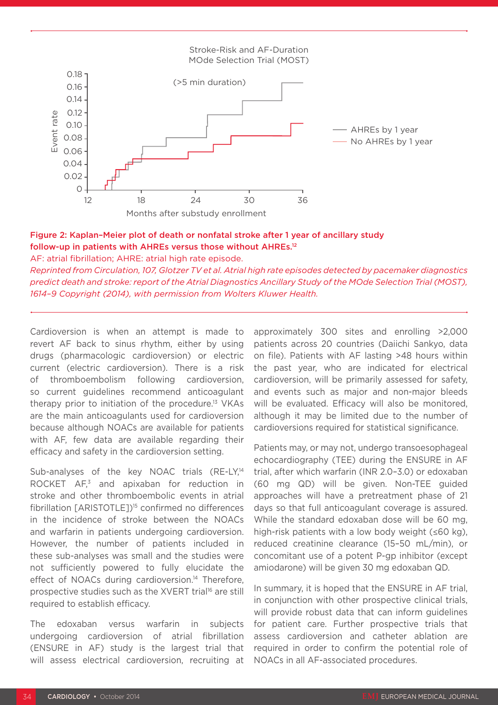Stroke-Risk and AF-Duration MOde Selection Trial (MOST)



## Figure 2: Kaplan–Meier plot of death or nonfatal stroke after 1 year of ancillary study follow-up in patients with AHREs versus those without AHREs.12

AF: atrial fibrillation; AHRE: atrial high rate episode.

*Reprinted from Circulation, 107, Glotzer TV et al. Atrial high rate episodes detected by pacemaker diagnostics predict death and stroke: report of the Atrial Diagnostics Ancillary Study of the MOde Selection Trial (MOST), 1614–9 Copyright (2014), with permission from Wolters Kluwer Health.*

Cardioversion is when an attempt is made to revert AF back to sinus rhythm, either by using drugs (pharmacologic cardioversion) or electric current (electric cardioversion). There is a risk of thromboembolism following cardioversion, so current guidelines recommend anticoagulant therapy prior to initiation of the procedure.13 VKAs are the main anticoagulants used for cardioversion because although NOACs are available for patients with AF, few data are available regarding their efficacy and safety in the cardioversion setting.

Sub-analyses of the key NOAC trials (RE-LY,<sup>14</sup>) ROCKET AF<sub>3</sub> and apixaban for reduction in stroke and other thromboembolic events in atrial fibrillation [ARISTOTLE])15 confirmed no differences in the incidence of stroke between the NOACs and warfarin in patients undergoing cardioversion. However, the number of patients included in these sub-analyses was small and the studies were not sufficiently powered to fully elucidate the effect of NOACs during cardioversion.<sup>14</sup> Therefore, prospective studies such as the XVERT trial<sup>16</sup> are still required to establish efficacy.

The edoxaban versus warfarin in subjects undergoing cardioversion of atrial fibrillation (ENSURE in AF) study is the largest trial that will assess electrical cardioversion, recruiting at

approximately 300 sites and enrolling >2,000 patients across 20 countries (Daiichi Sankyo, data on file). Patients with AF lasting >48 hours within the past year, who are indicated for electrical cardioversion, will be primarily assessed for safety, and events such as major and non-major bleeds will be evaluated. Efficacy will also be monitored, although it may be limited due to the number of cardioversions required for statistical significance.

Patients may, or may not, undergo transoesophageal echocardiography (TEE) during the ENSURE in AF trial, after which warfarin (INR 2.0–3.0) or edoxaban (60 mg QD) will be given. Non-TEE guided approaches will have a pretreatment phase of 21 days so that full anticoagulant coverage is assured. While the standard edoxaban dose will be 60 mg, high-risk patients with a low body weight (≤60 kg), reduced creatinine clearance (15–50 mL/min), or concomitant use of a potent P-gp inhibitor (except amiodarone) will be given 30 mg edoxaban QD.

In summary, it is hoped that the ENSURE in AF trial, in conjunction with other prospective clinical trials, will provide robust data that can inform guidelines for patient care. Further prospective trials that assess cardioversion and catheter ablation are required in order to confirm the potential role of NOACs in all AF-associated procedures.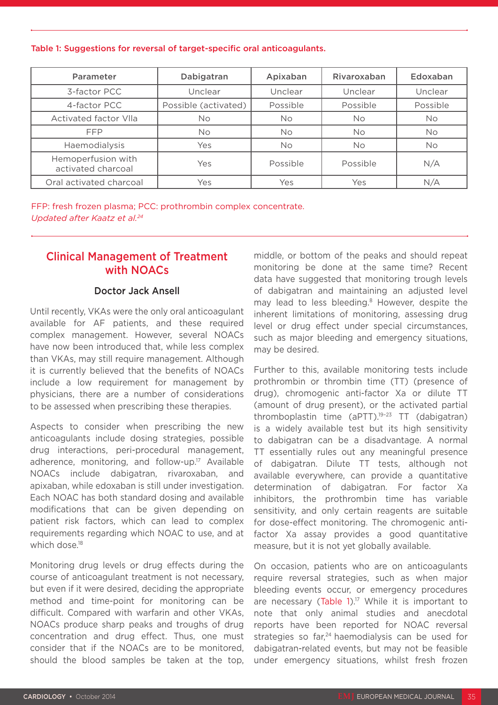#### Table 1: Suggestions for reversal of target-specific oral anticoagulants.

| Parameter                                | Dabigatran           | Apixaban  | Rivaroxaban | Edoxaban  |
|------------------------------------------|----------------------|-----------|-------------|-----------|
| 3-factor PCC                             | Unclear              | Unclear   | Unclear     | Unclear   |
| 4-factor PCC                             | Possible (activated) | Possible  | Possible    | Possible  |
| <b>Activated factor VIIa</b>             | <b>No</b>            | No.       | No          | <b>No</b> |
| <b>FFP</b>                               | <b>No</b>            | <b>No</b> | No          | <b>No</b> |
| Haemodialysis                            | <b>Yes</b>           | No.       | No          | <b>No</b> |
| Hemoperfusion with<br>activated charcoal | Yes                  | Possible  | Possible    | N/A       |
| Oral activated charcoal                  | Yes                  | Yes       | Yes         | N/A       |

FFP: fresh frozen plasma; PCC: prothrombin complex concentrate. *Updated after Kaatz et al.24*

## Clinical Management of Treatment with NOACs

#### Doctor Jack Ansell

Until recently, VKAs were the only oral anticoagulant available for AF patients, and these required complex management. However, several NOACs have now been introduced that, while less complex than VKAs, may still require management. Although it is currently believed that the benefits of NOACs include a low requirement for management by physicians, there are a number of considerations to be assessed when prescribing these therapies.

Aspects to consider when prescribing the new anticoagulants include dosing strategies, possible drug interactions, peri-procedural management, adherence, monitoring, and follow-up.<sup>17</sup> Available NOACs include dabigatran, rivaroxaban, and apixaban, while edoxaban is still under investigation. Each NOAC has both standard dosing and available modifications that can be given depending on patient risk factors, which can lead to complex requirements regarding which NOAC to use, and at which dose.<sup>18</sup>

Monitoring drug levels or drug effects during the course of anticoagulant treatment is not necessary, but even if it were desired, deciding the appropriate method and time-point for monitoring can be difficult. Compared with warfarin and other VKAs, NOACs produce sharp peaks and troughs of drug concentration and drug effect. Thus, one must consider that if the NOACs are to be monitored, should the blood samples be taken at the top,

middle, or bottom of the peaks and should repeat monitoring be done at the same time? Recent data have suggested that monitoring trough levels of dabigatran and maintaining an adjusted level may lead to less bleeding.<sup>8</sup> However, despite the inherent limitations of monitoring, assessing drug level or drug effect under special circumstances, such as major bleeding and emergency situations, may be desired.

Further to this, available monitoring tests include prothrombin or thrombin time (TT) (presence of drug), chromogenic anti-factor Xa or dilute TT (amount of drug present), or the activated partial thromboplastin time (aPTT).19–23 TT (dabigatran) is a widely available test but its high sensitivity to dabigatran can be a disadvantage. A normal TT essentially rules out any meaningful presence of dabigatran. Dilute TT tests, although not available everywhere, can provide a quantitative determination of dabigatran. For factor Xa inhibitors, the prothrombin time has variable sensitivity, and only certain reagents are suitable for dose-effect monitoring. The chromogenic antifactor Xa assay provides a good quantitative measure, but it is not yet globally available.

On occasion, patients who are on anticoagulants require reversal strategies, such as when major bleeding events occur, or emergency procedures are necessary (Table  $1$ ).<sup>17</sup> While it is important to note that only animal studies and anecdotal reports have been reported for NOAC reversal strategies so far,<sup>24</sup> haemodialysis can be used for dabigatran-related events, but may not be feasible under emergency situations, whilst fresh frozen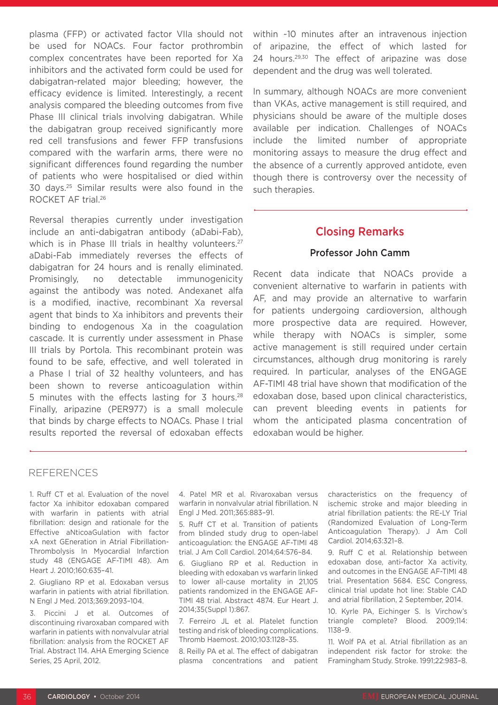plasma (FFP) or activated factor VIIa should not be used for NOACs. Four factor prothrombin complex concentrates have been reported for Xa inhibitors and the activated form could be used for dabigatran-related major bleeding; however, the efficacy evidence is limited. Interestingly, a recent analysis compared the bleeding outcomes from five Phase III clinical trials involving dabigatran. While the dabigatran group received significantly more red cell transfusions and fewer FFP transfusions compared with the warfarin arms, there were no significant differences found regarding the number of patients who were hospitalised or died within 30 days.25 Similar results were also found in the ROCKET AF trial.26

Reversal therapies currently under investigation include an anti-dabigatran antibody (aDabi-Fab), which is in Phase III trials in healthy volunteers.<sup>27</sup> aDabi-Fab immediately reverses the effects of dabigatran for 24 hours and is renally eliminated. Promisingly, no detectable immunogenicity against the antibody was noted. Andexanet alfa is a modified, inactive, recombinant Xa reversal agent that binds to Xa inhibitors and prevents their binding to endogenous Xa in the coagulation cascade. It is currently under assessment in Phase III trials by Portola. This recombinant protein was found to be safe, effective, and well tolerated in a Phase I trial of 32 healthy volunteers, and has been shown to reverse anticoagulation within 5 minutes with the effects lasting for 3 hours.<sup>28</sup> Finally, aripazine (PER977) is a small molecule that binds by charge effects to NOACs. Phase I trial results reported the reversal of edoxaban effects

within ~10 minutes after an intravenous injection of aripazine, the effect of which lasted for 24 hours.29,30 The effect of aripazine was dose dependent and the drug was well tolerated.

In summary, although NOACs are more convenient than VKAs, active management is still required, and physicians should be aware of the multiple doses available per indication. Challenges of NOACs include the limited number of appropriate monitoring assays to measure the drug effect and the absence of a currently approved antidote, even though there is controversy over the necessity of such therapies.

## Closing Remarks

### Professor John Camm

Recent data indicate that NOACs provide a convenient alternative to warfarin in patients with AF, and may provide an alternative to warfarin for patients undergoing cardioversion, although more prospective data are required. However, while therapy with NOACs is simpler, some active management is still required under certain circumstances, although drug monitoring is rarely required. In particular, analyses of the ENGAGE AF-TIMI 48 trial have shown that modification of the edoxaban dose, based upon clinical characteristics, can prevent bleeding events in patients for whom the anticipated plasma concentration of edoxaban would be higher.

### REFERENCES

1. Ruff CT et al. Evaluation of the novel factor Xa inhibitor edoxaban compared with warfarin in patients with atrial fibrillation: design and rationale for the Effective aNticoaGulation with factor xA next GEneration in Atrial Fibrillation-Thrombolysis In Myocardial Infarction study 48 (ENGAGE AF-TIMI 48). Am Heart J. 2010;160:635–41.

2. Giugliano RP et al. Edoxaban versus warfarin in patients with atrial fibrillation. N Engl J Med. 2013;369:2093–104.

3. Piccini J et al. Outcomes of discontinuing rivaroxaban compared with warfarin in patients with nonvalvular atrial fibrillation: analysis from the ROCKET AF Trial. Abstract 114. AHA Emerging Science Series, 25 April, 2012.

4. Patel MR et al. Rivaroxaban versus warfarin in nonvalvular atrial fibrillation. N Engl J Med. 2011;365:883–91.

5. Ruff CT et al. Transition of patients from blinded study drug to open-label anticoagulation: the ENGAGE AF-TIMI 48 trial. J Am Coll Cardiol. 2014;64:576–84.

6. Giugliano RP et al. Reduction in bleeding with edoxaban vs warfarin linked to lower all-cause mortality in 21,105 patients randomized in the ENGAGE AF-TIMI 48 trial. Abstract 4874. Eur Heart J. 2014;35(Suppl 1):867.

7. Ferreiro JL et al. Platelet function testing and risk of bleeding complications. Thromb Haemost. 2010;103:1128–35.

8. Reilly PA et al. The effect of dabigatran plasma concentrations and patient

characteristics on the frequency of ischemic stroke and major bleeding in atrial fibrillation patients: the RE-LY Trial (Randomized Evaluation of Long-Term Anticoagulation Therapy). J Am Coll Cardiol. 2014;63:321–8.

9. Ruff C et al. Relationship between edoxaban dose, anti-factor Xa activity, and outcomes in the ENGAGE AF-TIMI 48 trial. Presentation 5684. ESC Congress, clinical trial update hot line: Stable CAD and atrial fibrillation, 2 September, 2014.

10. Kyrle PA, Eichinger S. Is Virchow's triangle complete? Blood. 2009;114: 1138–9.

11. Wolf PA et al. Atrial fibrillation as an independent risk factor for stroke: the Framingham Study. Stroke. 1991;22:983–8.